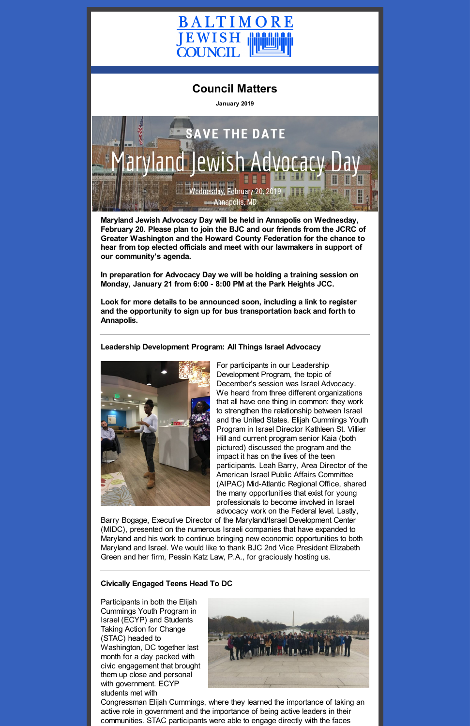

# **Council Matters**

**January 2019**



**Maryland Jewish Advocacy Day will be held in Annapolis on Wednesday, February 20. Please plan to join the BJC and our friends from the JCRC of Greater Washington and the Howard County Federation for the chance to hear from top elected officials and meet with our lawmakers in support of our community's agenda.**

**In preparation for Advocacy Day we will be holding a training session on Monday, January 21 from 6:00 - 8:00 PM at the Park Heights JCC.**

**Look for more details to be announced soon, including a link to register and the opportunity to sign up for bus transportation back and forth to Annapolis.**

**Leadership Development Program: All Things Israel Advocacy**



For participants in our Leadership Development Program, the topic of December's session was Israel Advocacy. We heard from three different organizations that all have one thing in common: they work to strengthen the relationship between Israel and the United States. Elijah Cummings Youth Program in Israel Director Kathleen St. Villier Hill and current program senior Kaia (both pictured) discussed the program and the impact it has on the lives of the teen participants. Leah Barry, Area Director of the American Israel Public Affairs Committee (AIPAC) Mid-Atlantic Regional Office, shared the many opportunities that exist for young professionals to become involved in Israel advocacy work on the Federal level. Lastly,

Barry Bogage, Executive Director of the Maryland/Israel Development Center (MIDC), presented on the numerous Israeli companies that have expanded to Maryland and his work to continue bringing new economic opportunities to both Maryland and Israel. We would like to thank BJC 2nd Vice President Elizabeth Green and her firm, Pessin Katz Law, P.A., for graciously hosting us.

#### **Civically Engaged Teens Head To DC**

Participants in both the Elijah Cummings Youth Program in Israel (ECYP) and Students Taking Action for Change (STAC) headed to Washington, DC together last month for a day packed with civic engagement that brought them up close and personal with government. ECYP students met with



Congressman Elijah Cummings, where they learned the importance of taking an active role in government and the importance of being active leaders in their communities. STAC participants were able to engage directly with the faces